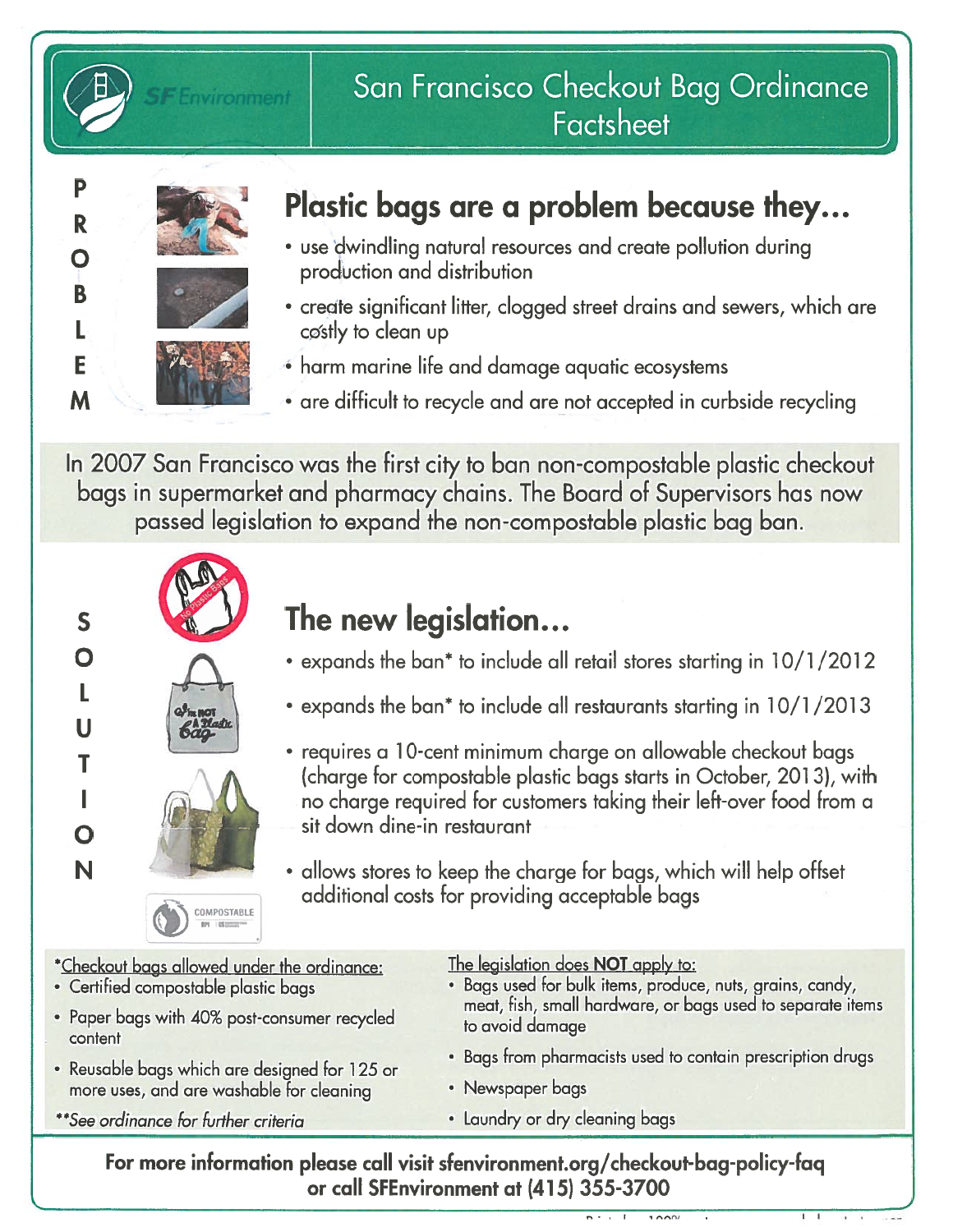



## San Francisco Checkout Bag Ordinance **Factsheet**

# Plastic bags are a problem because they...

- use dwindling natural resources and create pollution during production and distribution
- create significant litter, clogged street drains and sewers, which are costly to clean up
- harm marine life and damage aquatic ecosystems
- are difficult to recycle and are not accepted in curbside recycling

In 2007 San Francisco was the first city to ban non-compostable plastic checkout bags in supermarket and pharmacy chains. The Board of Supervisors has now passed legislation to expand the non-compostable plastic bag ban.



# s **New York The new legislation...**

- expands the ban\* to include all retail stores starting in 10/1/2012
- expands the ban\* to include all restaurants starting in 10/1/2013
- requires a <sup>1</sup> 0-cent minimum charge on allowable checkout bags (charge for compostable plastic bags starts in October, 201 3), with no charge required for customers taking their left-over food from a sit down dine-in restaurant
- allows stores to keep the charge for bags, which will help offset additional costs for providing acceptable bags

 $100<sup>1</sup>$ 

| *Checkout bags allowed under the ordinance:   | The legislation does NOT apply to:                         |
|-----------------------------------------------|------------------------------------------------------------|
| · Certified compostable plastic bags          | · Bags used for bulk items, produce, nuts, grains, candy,  |
| • Paper bags with 40% post-consumer recycled  | meat, fish, small hardware, or bags used to separate items |
| content                                       | to avoid damage                                            |
| · Reusable bags which are designed for 125 or | • Bags from pharmacists used to contain prescription drugs |
| more uses, and are washable for cleaning      | • Newspaper bags                                           |
| **See ordinance for further criteria          | · Laundry or dry cleaning bags                             |
|                                               |                                                            |

For more information please call visit sfenvironment.org/checkout-bag-policy-faq or call SFEnvironment at (415) 355-3700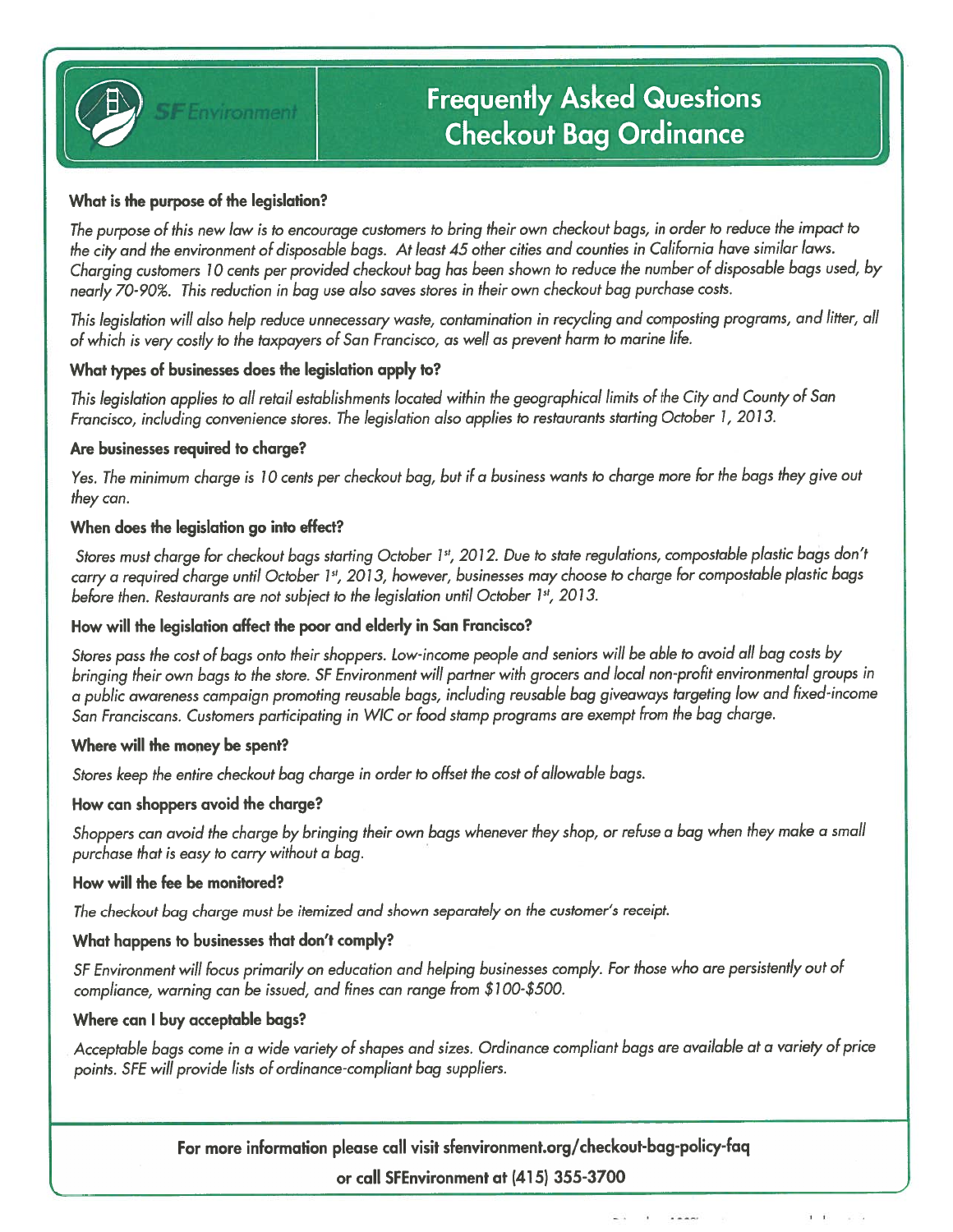

## Frequently Asked Questions Checkout Bag Ordinance

#### What is the purpose of the legislation?

The purpose of this new law is to encourage customers to bring their own checkout bags, in order to reduce the impact to the city and the environment of disposable bags. At least 45 other cities and counties in California have similar laws. Charging customers 10 cents per provided checkout bag has been shown to reduce the number of disposable bags used, by nearly 70-90%. This reduction in bag use also saves stores in their own checkout bag purchase costs.

This legislation will also help reduce unnecessary waste, contamination in recycling and composting programs, and litter, all of which is very costly to the taxpayers of San Francisco, as well as prevent harm to marine life.

#### What types of businesses does the legislation apply to?

This legislation applies to all retail establishments located within the geographical limits of the City and County of San Francisco, including convenience stores. The legislation also applies to restaurants starting October 1, 2013.

#### Are businesses required to charge?

Yes. The minimum charge is 10 cents per checkout bag, but if a business wants to charge more for the bags they give out they can.

#### When does the legislation go into effect?

Stores must charge for checkout bags starting October 1st, 2012. Due to state regulations, compostable plastic bags don't carry a required charge until October 1st, 2013, however, businesses may choose to charge for compostable plastic bags before then. Restaurants are not subject to the legislation until October 1st, 2013.

#### How will the legislation affect the poor and elderly in San Francisco?

Stores pass the cost of bags onto their shoppers. Low-income people and seniors will be able to avoid all bag costs by bringing their own bags to the store. SF Environment will partner with grocers and local non-profit environmental groups in a public awareness campaign promoting reusable bags, including reusable bag giveaways targeting low and fixed-income San Franciscans. Customers participating in WIC or food stamp programs are exempt from the bag charge.

#### Where will the money be spent?

Stores keep the entire checkout bag charge in order to offset the cost of allowable bags.

#### How can shoppers avoid the charge?

Shoppers can avoid the charge by bringing their own bags whenever they shop, or refuse a bag when they make a small purchase that is easy to carry without a bag.

#### How will the fee be monitored?

The checkout bag charge must be itemized and shown separately on the customer's receipt.

#### What happens to businesses that don't comply?

SF Environment will focus primarily on education and helping businesses comply. For those who are persistently out of compliance, warning can be issued, and fines can range from \$1 00-\$500.

#### Where can <sup>I</sup> buy acceptable bags?

Acceptable bags come in a wide variety of shapes and sizes. Ordinance compliant bags are available at a variety of price points. SFE will provide lists of ordinance-compliant bag suppliers.

For more information please call visit sfenvironment.org/checkout-bag-policy-faq

#### or call SFEnvironment at (415) 355-3700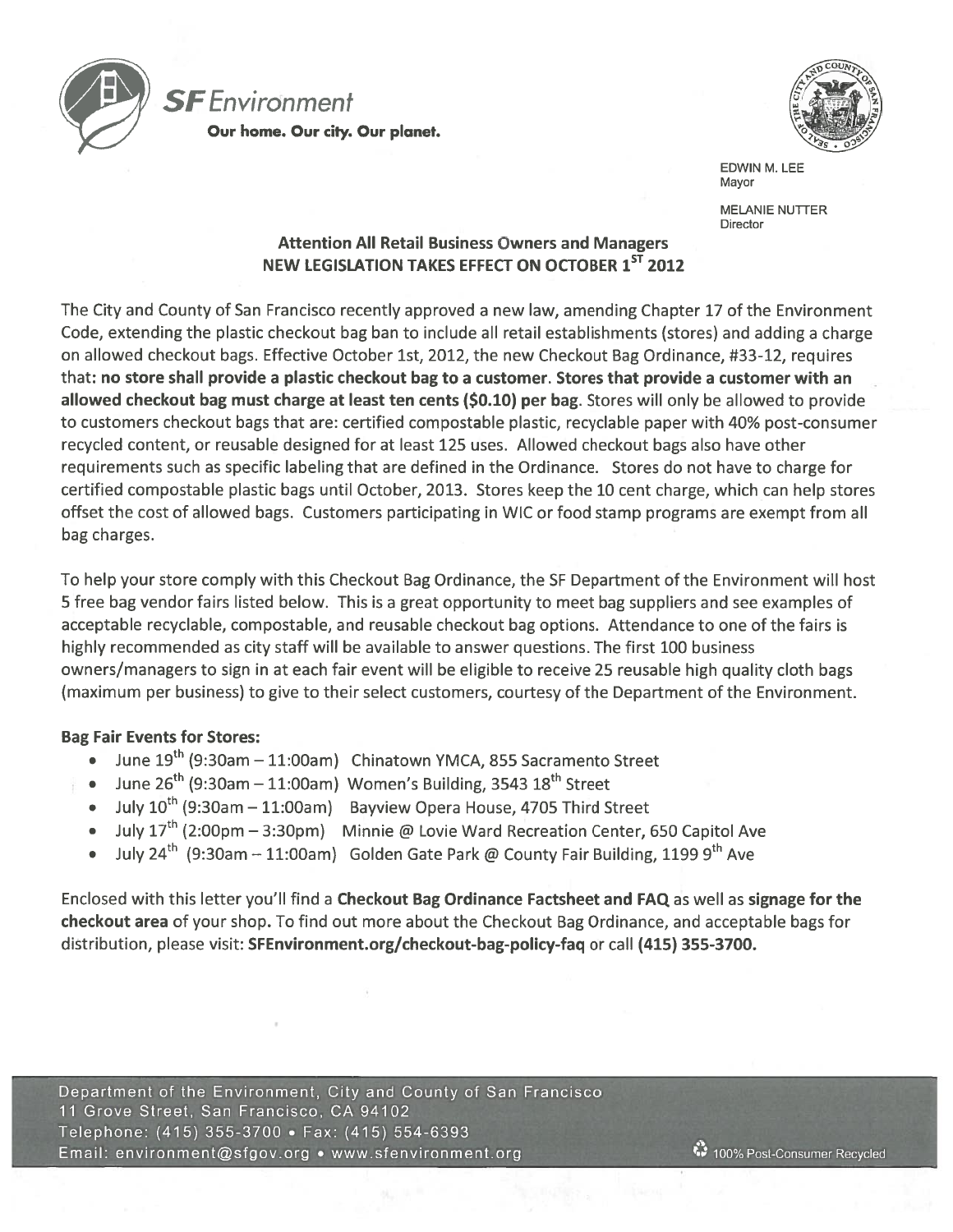



EDWIN M. LEE Mayor

MELANIE NUTTER **Director** 

### Attention All Retail Business Owners and Managers NEW LEGISLATION TAKES EFFECT ON OCTOBER 1<sup>ST</sup> 2012

The City and County of San Francisco recently approved a new law, amending Chapter 17 of the Environment Code, extending the plastic checkout bag ban to include all retail establishments (stores) and adding a charge on allowed checkout bags. Effective October 1st, 2012, the new Checkout Bag Ordinance, #33-12, requires that: no store shall provide a plastic checkout bag to a customer. Stores that provide a customer with an allowed checkout bag must charge at least ten cents (\$0.10) per bag. Stores will only be allowed to provide to customers checkout bags that are: certified compostable plastic, recyclable paper with 40% post-consumer recycled content, or reusable designed for at least 125 uses. Allowed checkout bags also have other requirements such as specific labeling that are defined in the Ordinance. Stores do not have to charge for certified compostable plastic bags until October, 2013. Stores keep the 10 cent charge, which can help stores offset the cost of allowed bags. Customers participating in WIC or food stamp programs are exempt from all bag charges.

To help your store comply with this Checkout Bag Ordinance, the SF Department of the Environment will host <sup>5</sup> free bag vendor fairs listed below. This is a great opportunity to meet bag suppliers and see examples of acceptable recyclable, compostable, and reusable checkout bag options. Attendance to one of the fairs is highly recommended as city staff will be available to answer questions. The first 100 business owners/managers to sign in at each fair event will be eligible to receive 25 reusable high quality cloth bags (maximum per business) to give to their select customers, courtesy of the Department of the Environment.

### Bag Fair Events for Stores:

- June 19<sup>th</sup> (9:30am 11:00am) Chinatown YMCA, 855 Sacramento Street
- June  $26<sup>th</sup>$  (9:30am 11:00am) Women's Building, 3543  $18<sup>th</sup>$  Street
- July  $10^{th}$  (9:30am 11:00am) Bayview Opera House, 4705 Third Street
- July 17th (2:00pm 3:30pm) Minnie @ Lovie Ward Recreation Center, <sup>650</sup> Capitol Ave
- July 24<sup>th</sup> (9:30am 11:00am) Golden Gate Park @ County Fair Building, 1199 9<sup>th</sup> Ave

Enclosed with this letter you'll find <sup>a</sup> Checkout Bag Ordinance Factsheet and FAQ as well as signage for the checkout area of your shop. To find out more about the Checkout Bag Ordinance, and acceptable bags for distribution, please visit: SFEnvironment.org/checkout-bag-policy-faq or call (415) 355-3700.

Department of the Environment, City and County of San Francisco <sup>11</sup> Grove Street, San Francisco, CA 94102 Telephone: (415) 355-3700 • Fax: (415) 554-6393 Email: environment@sfgov.org • www.sfenvironment.org 100% Post-Consumer Recycled